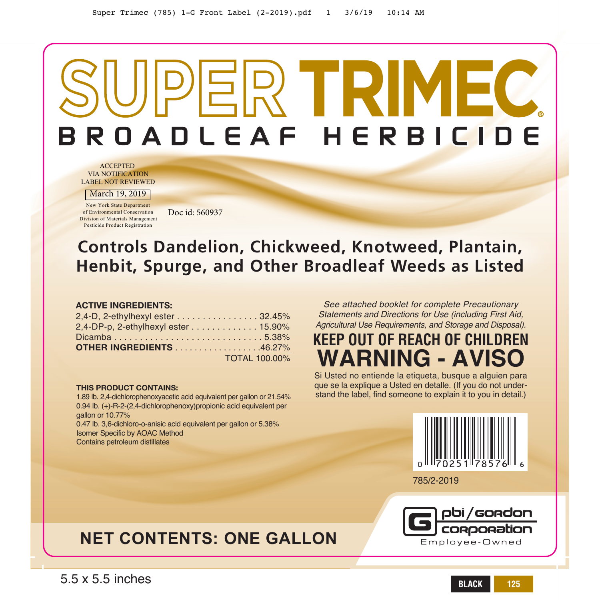# $EPR$  **TRIMEC**  BROADLEAF HERBICIDE

ACCEPTED VIA NOTIFICATION LABEL NOT REVIEWED

March 19, 2019

New York State Department of Environmental Conservation Division of Materials Management Pesticide Product Registration

Doc id: 560937

# **Controls Dandelion, Chickweed, Knotweed, Plantain, Henbit, Spurge, and Other Broadleaf Weeds as Listed**

#### **ACTIVE INGREDIENTS:**

| 2,4-D, 2-ethylhexyl ester 32.45%                                   |                      |  |
|--------------------------------------------------------------------|----------------------|--|
| 2,4-DP-p, 2-ethylhexyl ester $\ldots \ldots \ldots \ldots 15.90\%$ |                      |  |
| Dicamba5.38%                                                       |                      |  |
| <b>OTHER INGREDIENTS</b> 46.27%                                    |                      |  |
|                                                                    | <b>TOTAL 100.00%</b> |  |

#### **THIS PRODUCT CONTAINS:**

1.89 lb. 2,4-dichlorophenoxyacetic acid equivalent per gallon or 21.54% 0.94 lb. (+)-R-2-(2,4-dichlorophenoxy)propionic acid equivalent per gallon or 10.77% 0.47 lb. 3,6-dichloro-o-anisic acid equivalent per gallon or 5.38% Isomer Specific by AOAC Method

Contains petroleum distillates

*See attached booklet for complete Precautionary Statements and Directions for Use (including First Aid, Agricultural Use Requirements, and Storage and Disposal).*

# **KEEP OUT OF REACH OF CHILDREN WARNING - AVIS**

Si Usted no entiende la etiqueta, busque a alguien para que se la explique a Usted en detalle. (If you do not understand the label, find someone to explain it to you in detail.)



785/2-2019



# **NET CONTENTS: ONE GALLON**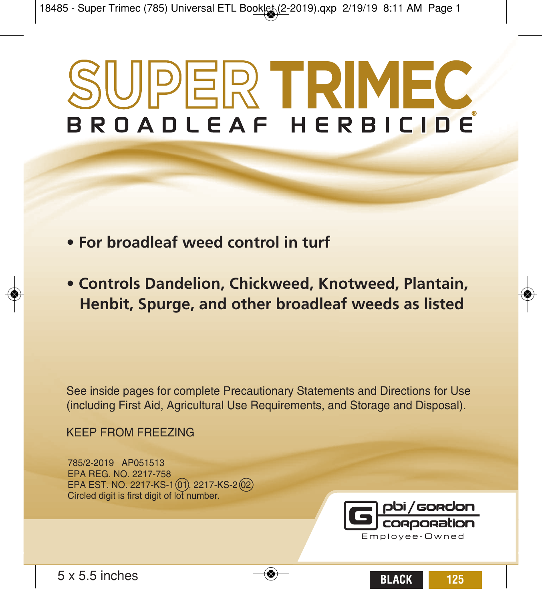# **SUPER TRIMEC**

- **For broadleaf weed control in turf**
- **Controls Dandelion, Chickweed, Knotweed, Plantain, Henbit, Spurge, and other broadleaf weeds as listed**

See inside pages for complete Precautionary Statements and Directions for Use (including First Aid, Agricultural Use Requirements, and Storage and Disposal).

KEEP FROM FREEZING

785/2-2019 AP051513 EPA REG. NO. 2217-758 EPA EST. NO. 2217-KS-1 01, 2217-KS-2 02 Circled digit is first digit of lot number.

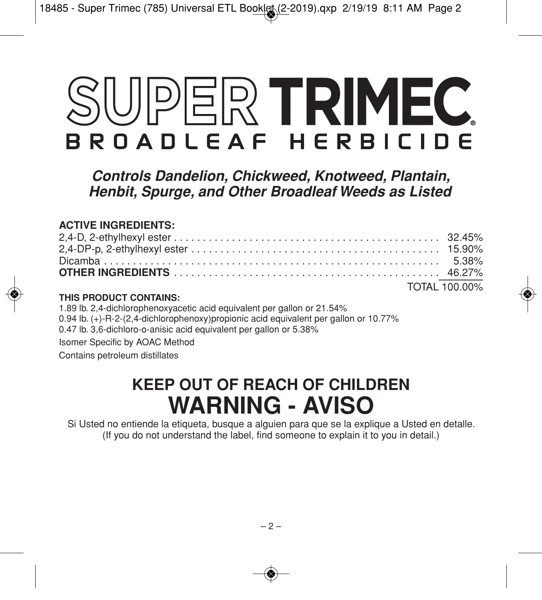# UPER TRIMEC BROADLEAF HERBICIDE

*Controls Dandelion, Chickweed, Knotweed, Plantain, Henbit, Spurge, and Other Broadleaf Weeds as Listed*

# **ACTIVE INGREDIENTS:**

|  | TOTAL 100.00% |
|--|---------------|

# **THIS PRODUCT CONTAINS:**

1.89 lb. 2,4-dichlorophenoxyacetic acid equivalent per gallon or 21.54% 0.94 lb. (+)-R-2-(2,4-dichlorophenoxy)propionic acid equivalent per gallon or 10.77% 0.47 lb. 3,6-dichloro-o-anisic acid equivalent per gallon or 5.38% Isomer Specific by AOAC Method Contains petroleum distillates

# **KEEP OUT OF REACH OF CHILDREN WARNING - AVISO**

Si Usted no entiende la etiqueta, busque a alguien para que se la explique a Usted en detalle. (If you do not understand the label, find someone to explain it to you in detail.)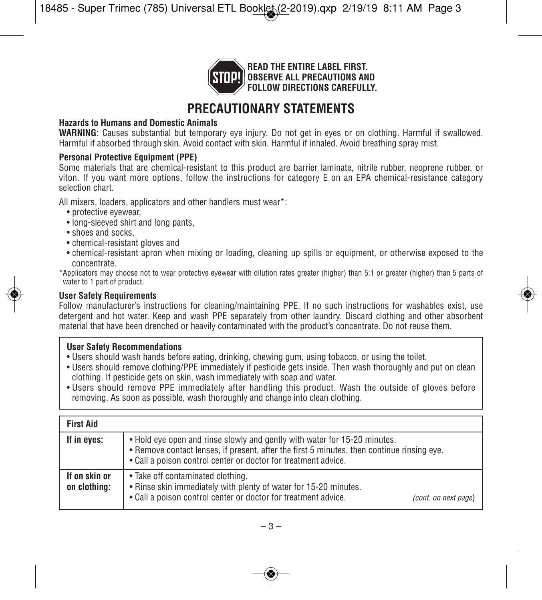

**READ THE ENTIRE LABEL FIRST. OBSERVE ALL PRECAUTIONS AND FOLLOW DIRECTIONS CAREFULLY.**

# **PRECAUTIONARY STATEMENTS**

# **Hazards to Humans and Domestic Animals**

**WARNING:** Causes substantial but temporary eye injury. Do not get in eyes or on clothing. Harmful if swallowed. Harmful if absorbed through skin. Avoid contact with skin. Harmful if inhaled. Avoid breathing spray mist.

#### **Personal Protective Equipment (PPE)**

Some materials that are chemical-resistant to this product are barrier laminate, nitrile rubber, neoprene rubber, or viton. If you want more options, follow the instructions for category E on an EPA chemical-resistance category selection chart.

All mixers, loaders, applicators and other handlers must wear\*:

- protective eyewear,
- long-sleeved shirt and long pants,
- shoes and socks,
- chemical-resistant gloves and
- chemical-resistant apron when mixing or loading, cleaning up spills or equipment, or otherwise exposed to the concentrate.
- \*Applicators may choose not to wear protective eyewear with dilution rates greater (higher) than 5:1 or greater (higher) than 5 parts of water to 1 part of product.

# **User Safety Requirements**

Follow manufacturer's instructions for cleaning/maintaining PPE. If no such instructions for washables exist, use detergent and hot water. Keep and wash PPE separately from other laundry. Discard clothing and other absorbent material that have been drenched or heavily contaminated with the product's concentrate. Do not reuse them.

# **User Safety Recommendations**

- Users should wash hands before eating, drinking, chewing gum, using tobacco, or using the toilet.
- Users should remove clothing/PPE immediately if pesticide gets inside. Then wash thoroughly and put on clean clothing. If pesticide gets on skin, wash immediately with soap and water.
- Users should remove PPE immediately after handling this product. Wash the outside of gloves before removing. As soon as possible, wash thoroughly and change into clean clothing.

| <b>First Aid</b>              |                                                                                                                                                                                                                                           |
|-------------------------------|-------------------------------------------------------------------------------------------------------------------------------------------------------------------------------------------------------------------------------------------|
| If in eyes:                   | . Hold eye open and rinse slowly and gently with water for 15-20 minutes.<br>. Remove contact lenses, if present, after the first 5 minutes, then continue rinsing eye.<br>• Call a poison control center or doctor for treatment advice. |
| If on skin or<br>on clothing: | • Take off contaminated clothing.<br>. Rinse skin immediately with plenty of water for 15-20 minutes.<br>• Call a poison control center or doctor for treatment advice.<br>(cont. on next page)                                           |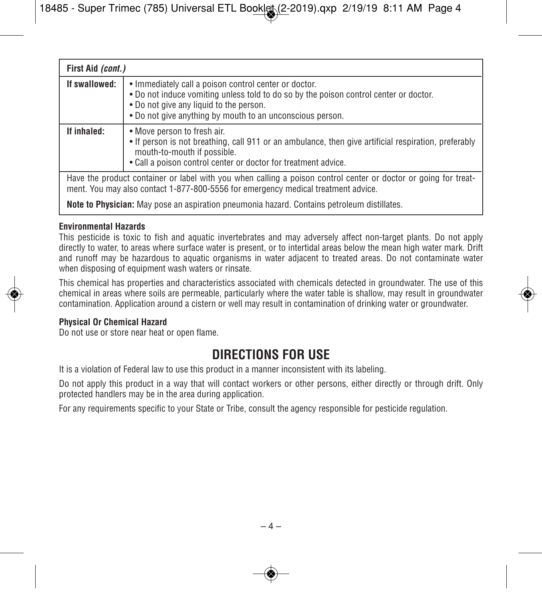| First Aid (cont.)                                                                                                                                                                                    |                                                                                                                                                                                                                                                        |
|------------------------------------------------------------------------------------------------------------------------------------------------------------------------------------------------------|--------------------------------------------------------------------------------------------------------------------------------------------------------------------------------------------------------------------------------------------------------|
| If swallowed:                                                                                                                                                                                        | • Immediately call a poison control center or doctor.<br>. Do not induce vomiting unless told to do so by the poison control center or doctor.<br>. Do not give any liquid to the person.<br>• Do not give anything by mouth to an unconscious person. |
| If inhaled:                                                                                                                                                                                          | • Move person to fresh air.<br>• If person is not breathing, call 911 or an ambulance, then give artificial respiration, preferably<br>mouth-to-mouth if possible.<br>. Call a poison control center or doctor for treatment advice.                   |
| Have the product container or label with you when calling a poison control center or doctor or going for treat-<br>ment. You may also contact 1-877-800-5556 for emergency medical treatment advice. |                                                                                                                                                                                                                                                        |
| <b>Note to Physician:</b> May pose an aspiration pneumonia hazard. Contains petroleum distillates.                                                                                                   |                                                                                                                                                                                                                                                        |

# **Environmental Hazards**

This pesticide is toxic to fish and aquatic invertebrates and may adversely affect non-target plants. Do not apply directly to water, to areas where surface water is present, or to intertidal areas below the mean high water mark. Drift and runoff may be hazardous to aquatic organisms in water adjacent to treated areas. Do not contaminate water when disposing of equipment wash waters or rinsate.

This chemical has properties and characteristics associated with chemicals detected in groundwater. The use of this chemical in areas where soils are permeable, particularly where the water table is shallow, may result in groundwater contamination. Application around a cistern or well may result in contamination of drinking water or groundwater.

# **Physical Or Chemical Hazard**

Do not use or store near heat or open flame.

# **DIRECTIONS FOR USE**

It is a violation of Federal law to use this product in a manner inconsistent with its labeling.

Do not apply this product in a way that will contact workers or other persons, either directly or through drift. Only protected handlers may be in the area during application.

For any requirements specific to your State or Tribe, consult the agency responsible for pesticide regulation.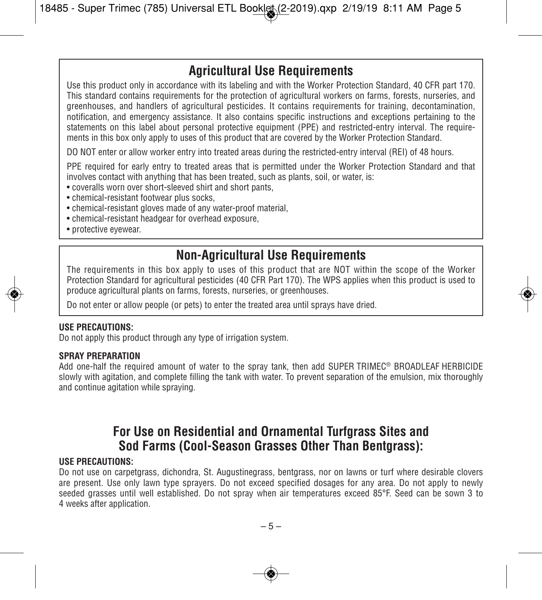# **Agricultural Use Requirements**

Use this product only in accordance with its labeling and with the Worker Protection Standard, 40 CFR part 170. This standard contains requirements for the protection of agricultural workers on farms, forests, nurseries, and greenhouses, and handlers of agricultural pesticides. It contains requirements for training, decontamination, notification, and emergency assistance. It also contains specific instructions and exceptions pertaining to the statements on this label about personal protective equipment (PPE) and restricted-entry interval. The requirements in this box only apply to uses of this product that are covered by the Worker Protection Standard.

DO NOT enter or allow worker entry into treated areas during the restricted-entry interval (REI) of 48 hours.

PPE required for early entry to treated areas that is permitted under the Worker Protection Standard and that involves contact with anything that has been treated, such as plants, soil, or water, is:

- coveralls worn over short-sleeved shirt and short pants,
- chemical-resistant footwear plus socks,
- chemical-resistant gloves made of any water-proof material,
- chemical-resistant headgear for overhead exposure,
- protective eyewear.

# **Non-Agricultural Use Requirements**

The requirements in this box apply to uses of this product that are NOT within the scope of the Worker Protection Standard for agricultural pesticides (40 CFR Part 170). The WPS applies when this product is used to produce agricultural plants on farms, forests, nurseries, or greenhouses.

Do not enter or allow people (or pets) to enter the treated area until sprays have dried.

#### **USE PRECAUTIONS:**

Do not apply this product through any type of irrigation system.

#### **SPRAY PREPARATION**

Add one-half the required amount of water to the spray tank, then add SUPER TRIMEC® BROADLEAF HERBICIDE slowly with agitation, and complete filling the tank with water. To prevent separation of the emulsion, mix thoroughly and continue agitation while spraying.

# **For Use on Residential and Ornamental Turfgrass Sites and Sod Farms (Cool-Season Grasses Other Than Bentgrass):**

#### **USE PRECAUTIONS:**

Do not use on carpetgrass, dichondra, St. Augustinegrass, bentgrass, nor on lawns or turf where desirable clovers are present. Use only lawn type sprayers. Do not exceed specified dosages for any area. Do not apply to newly seeded grasses until well established. Do not spray when air temperatures exceed 85°F. Seed can be sown 3 to 4 weeks after application.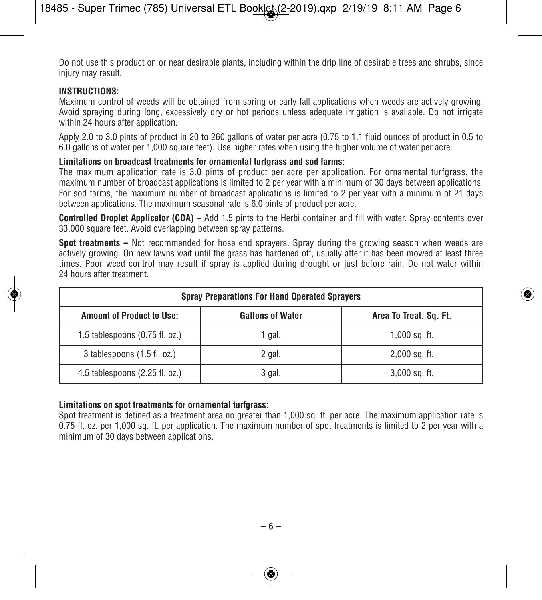Do not use this product on or near desirable plants, including within the drip line of desirable trees and shrubs, since injury may result.

# **INSTRUCTIONS:**

Maximum control of weeds will be obtained from spring or early fall applications when weeds are actively growing. Avoid spraying during long, excessively dry or hot periods unless adequate irrigation is available. Do not irrigate within 24 hours after application.

Apply 2.0 to 3.0 pints of product in 20 to 260 gallons of water per acre (0.75 to 1.1 fluid ounces of product in 0.5 to 6.0 gallons of water per 1,000 square feet). Use higher rates when using the higher volume of water per acre.

# **Limitations on broadcast treatments for ornamental turfgrass and sod farms:**

The maximum application rate is 3.0 pints of product per acre per application. For ornamental turfgrass, the maximum number of broadcast applications is limited to 2 per year with a minimum of 30 days between applications. For sod farms, the maximum number of broadcast applications is limited to 2 per year with a minimum of 21 days between applications. The maximum seasonal rate is 6.0 pints of product per acre.

**Controlled Droplet Applicator (CDA) –** Add 1.5 pints to the Herbi container and fill with water. Spray contents over 33,000 square feet. Avoid overlapping between spray patterns.

**Spot treatments –** Not recommended for hose end sprayers. Spray during the growing season when weeds are actively growing. On new lawns wait until the grass has hardened off, usually after it has been mowed at least three times. Poor weed control may result if spray is applied during drought or just before rain. Do not water within 24 hours after treatment.

| <b>Spray Preparations For Hand Operated Sprayers</b> |                         |                        |
|------------------------------------------------------|-------------------------|------------------------|
| <b>Amount of Product to Use:</b>                     | <b>Gallons of Water</b> | Area To Treat, Sq. Ft. |
| 1.5 tablespoons $(0.75 \text{ fl. oz.})$             | 1 gal.                  | $1,000$ sq. ft.        |
| 3 tablespoons (1.5 fl. oz.)                          | 2 gal.                  | $2,000$ sq. ft.        |
| 4.5 tablespoons (2.25 fl. oz.)                       | 3 gal.                  | $3,000$ sq. ft.        |

# **Limitations on spot treatments for ornamental turfgrass:**

Spot treatment is defined as a treatment area no greater than 1,000 sq. ft. per acre. The maximum application rate is 0.75 fl. oz. per 1,000 sq. ft. per application. The maximum number of spot treatments is limited to 2 per year with a minimum of 30 days between applications.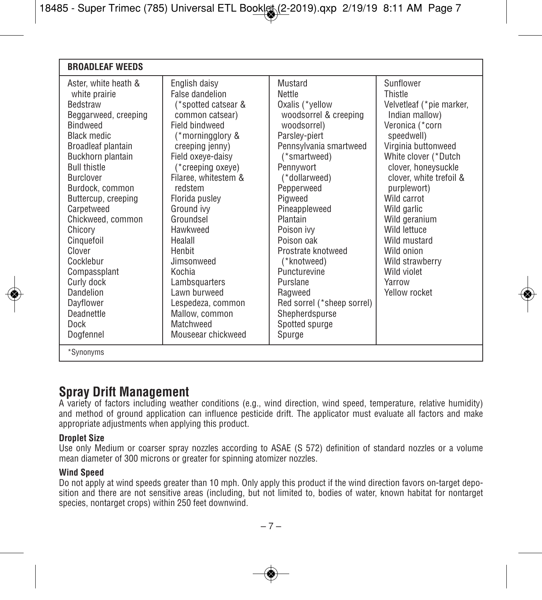| <b>BROADLEAF WEEDS</b>                                                                                                                                                                                                                                                                                                                                                                                                                  |                                                                                                                                                                                                                                                                                                                                                                                                                                    |                                                                                                                                                                                                                                                                                                                                                                                                                 |                                                                                                                                                                                                                                                                                                                                                                               |
|-----------------------------------------------------------------------------------------------------------------------------------------------------------------------------------------------------------------------------------------------------------------------------------------------------------------------------------------------------------------------------------------------------------------------------------------|------------------------------------------------------------------------------------------------------------------------------------------------------------------------------------------------------------------------------------------------------------------------------------------------------------------------------------------------------------------------------------------------------------------------------------|-----------------------------------------------------------------------------------------------------------------------------------------------------------------------------------------------------------------------------------------------------------------------------------------------------------------------------------------------------------------------------------------------------------------|-------------------------------------------------------------------------------------------------------------------------------------------------------------------------------------------------------------------------------------------------------------------------------------------------------------------------------------------------------------------------------|
| Aster, white heath &<br>white prairie<br><b>Bedstraw</b><br>Beggarweed, creeping<br><b>Bindweed</b><br><b>Black medic</b><br>Broadleaf plantain<br>Buckhorn plantain<br><b>Bull thistle</b><br><b>Burclover</b><br>Burdock, common<br>Buttercup, creeping<br>Carpetweed<br>Chickweed, common<br>Chicory<br>Cinquefoil<br>Clover<br>Cocklebur<br>Compassplant<br>Curly dock<br>Dandelion<br>Dayflower<br>Deadnettle<br>Dock<br>Dogfennel | English daisy<br>False dandelion<br>(*spotted catsear &<br>common catsear)<br>Field hindweed<br>(*morningglory &<br>creeping jenny)<br>Field oxeye-daisy<br>(*creeping oxeye)<br>Filaree, whitestem &<br>redstem<br>Florida pusley<br>Ground ivy<br>Groundsel<br>Hawkweed<br>Healall<br>Henbit<br>Jimsonweed<br>Kochia<br>Lambsquarters<br>I awn burweed<br>Lespedeza, common<br>Mallow, common<br>Matchweed<br>Mouseear chickweed | Mustard<br>Nettle<br>Oxalis (*yellow<br>woodsorrel & creeping<br>woodsorrel)<br>Parsley-piert<br>Pennsylvania smartweed<br>(*smartweed)<br>Pennywort<br>(*dollarweed)<br>Pepperweed<br>Pigweed<br>Pineappleweed<br>Plantain<br>Poison ivy<br>Poison oak<br>Prostrate knotweed<br>(*knotweed)<br>Puncturevine<br>Purslane<br>Ragweed<br>Red sorrel (*sheep sorrel)<br>Shepherdspurse<br>Spotted spurge<br>Spurge | Sunflower<br>Thistle<br>Velvetleaf (*pie marker,<br>Indian mallow)<br>Veronica (*corn<br>speedwell)<br>Virginia buttonweed<br>White clover (*Dutch<br>clover, honeysuckle<br>clover, white trefoil &<br>purplewort)<br>Wild carrot<br>Wild garlic<br>Wild geranium<br>Wild lettuce<br>Wild mustard<br>Wild onion<br>Wild strawberry<br>Wild violet<br>Yarrow<br>Yellow rocket |
| *Synonyms                                                                                                                                                                                                                                                                                                                                                                                                                               |                                                                                                                                                                                                                                                                                                                                                                                                                                    |                                                                                                                                                                                                                                                                                                                                                                                                                 |                                                                                                                                                                                                                                                                                                                                                                               |

# **Spray Drift Management**

A variety of factors including weather conditions (e.g., wind direction, wind speed, temperature, relative humidity) and method of ground application can influence pesticide drift. The applicator must evaluate all factors and make appropriate adjustments when applying this product.

# **Droplet Size**

Use only Medium or coarser spray nozzles according to ASAE (S 572) definition of standard nozzles or a volume mean diameter of 300 microns or greater for spinning atomizer nozzles.

# **Wind Speed**

Do not apply at wind speeds greater than 10 mph. Only apply this product if the wind direction favors on-target deposition and there are not sensitive areas (including, but not limited to, bodies of water, known habitat for nontarget species, nontarget crops) within 250 feet downwind.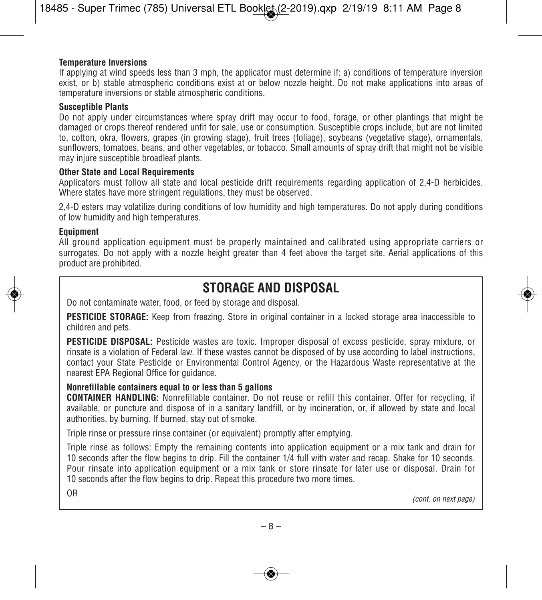#### **Temperature Inversions**

If applying at wind speeds less than 3 mph, the applicator must determine if: a) conditions of temperature inversion exist, or b) stable atmospheric conditions exist at or below nozzle height. Do not make applications into areas of temperature inversions or stable atmospheric conditions.

#### **Susceptible Plants**

Do not apply under circumstances where spray drift may occur to food, forage, or other plantings that might be damaged or crops thereof rendered unfit for sale, use or consumption. Susceptible crops include, but are not limited to, cotton, okra, flowers, grapes (in growing stage), fruit trees (foliage), soybeans (vegetative stage), ornamentals, sunflowers, tomatoes, beans, and other vegetables, or tobacco. Small amounts of spray drift that might not be visible may injure susceptible broadleaf plants.

#### **Other State and Local Requirements**

Applicators must follow all state and local pesticide drift requirements regarding application of 2,4-D herbicides. Where states have more stringent regulations, they must be observed.

2,4-D esters may volatilize during conditions of low humidity and high temperatures. Do not apply during conditions of low humidity and high temperatures.

#### **Equipment**

All ground application equipment must be properly maintained and calibrated using appropriate carriers or surrogates. Do not apply with a nozzle height greater than 4 feet above the target site. Aerial applications of this product are prohibited.

# **STORAGE AND DISPOSAL**

Do not contaminate water, food, or feed by storage and disposal.

**PESTICIDE STORAGE:** Keep from freezing. Store in original container in a locked storage area inaccessible to children and pets.

**PESTICIDE DISPOSAL:** Pesticide wastes are toxic. Improper disposal of excess pesticide, spray mixture, or rinsate is a violation of Federal law. If these wastes cannot be disposed of by use according to label instructions, contact your State Pesticide or Environmental Control Agency, or the Hazardous Waste representative at the nearest EPA Regional Office for guidance.

# **Nonrefillable containers equal to or less than 5 gallons**

**CONTAINER HANDLING:** Nonrefillable container. Do not reuse or refill this container. Offer for recycling, if available, or puncture and dispose of in a sanitary landfill, or by incineration, or, if allowed by state and local authorities, by burning. If burned, stay out of smoke.

Triple rinse or pressure rinse container (or equivalent) promptly after emptying.

Triple rinse as follows: Empty the remaining contents into application equipment or a mix tank and drain for 10 seconds after the flow begins to drip. Fill the container 1/4 full with water and recap. Shake for 10 seconds. Pour rinsate into application equipment or a mix tank or store rinsate for later use or disposal. Drain for 10 seconds after the flow begins to drip. Repeat this procedure two more times.

OR *(cont. on next page)*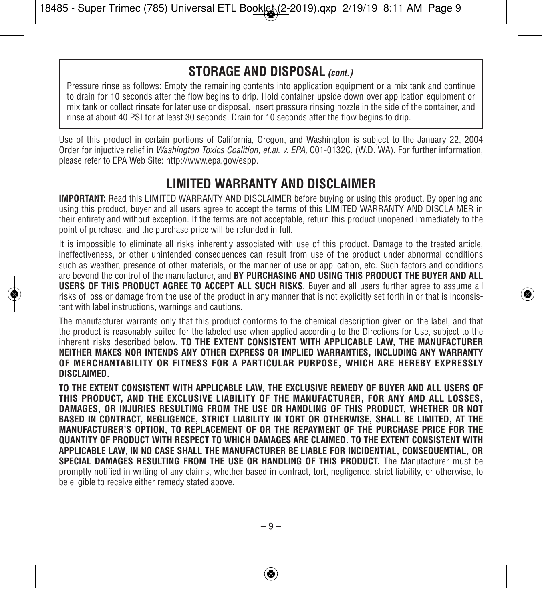# **STORAGE AND DISPOSAL** *(cont.)*

Pressure rinse as follows: Empty the remaining contents into application equipment or a mix tank and continue to drain for 10 seconds after the flow begins to drip. Hold container upside down over application equipment or mix tank or collect rinsate for later use or disposal. Insert pressure rinsing nozzle in the side of the container, and rinse at about 40 PSI for at least 30 seconds. Drain for 10 seconds after the flow begins to drip.

Use of this product in certain portions of California, Oregon, and Washington is subject to the January 22, 2004 Order for injuctive relief in *Washington Toxics Coalition, et.al. v. EPA,* C01-0132C, (W.D. WA). For further information, please refer to EPA Web Site: http://www.epa.gov/espp.

# **LIMITED WARRANTY AND DISCLAIMER**

**IMPORTANT:** Read this LIMITED WARRANTY AND DISCLAIMER before buying or using this product. By opening and using this product, buyer and all users agree to accept the terms of this LIMITED WARRANTY AND DISCLAIMER in their entirety and without exception. If the terms are not acceptable, return this product unopened immediately to the point of purchase, and the purchase price will be refunded in full.

It is impossible to eliminate all risks inherently associated with use of this product. Damage to the treated article, ineffectiveness, or other unintended consequences can result from use of the product under abnormal conditions such as weather, presence of other materials, or the manner of use or application, etc. Such factors and conditions are beyond the control of the manufacturer, and **BY PURCHASING AND USING THIS PRODUCT THE BUYER AND ALL USERS OF THIS PRODUCT AGREE TO ACCEPT ALL SUCH RISKS**. Buyer and all users further agree to assume all risks of loss or damage from the use of the product in any manner that is not explicitly set forth in or that is inconsistent with label instructions, warnings and cautions.

The manufacturer warrants only that this product conforms to the chemical description given on the label, and that the product is reasonably suited for the labeled use when applied according to the Directions for Use, subject to the inherent risks described below. **TO THE EXTENT CONSISTENT WITH APPLICABLE LAW, THE MANUFACTURER NEITHER MAKES NOR INTENDS ANY OTHER EXPRESS OR IMPLIED WARRANTIES, INCLUDING ANY WARRANTY OF MERCHANTABILITY OR FITNESS FOR A PARTICULAR PURPOSE, WHICH ARE HEREBY EXPRESSLY DISCLAIMED.**

**TO THE EXTENT CONSISTENT WITH APPLICABLE LAW, THE EXCLUSIVE REMEDY OF BUYER AND ALL USERS OF THIS PRODUCT, AND THE EXCLUSIVE LIABILITY OF THE MANUFACTURER, FOR ANY AND ALL LOSSES, DAMAGES, OR INJURIES RESULTING FROM THE USE OR HANDLING OF THIS PRODUCT, WHETHER OR NOT BASED IN CONTRACT, NEGLIGENCE, STRICT LIABILITY IN TORT OR OTHERWISE, SHALL BE LIMITED, AT THE MANUFACTURER'S OPTION, TO REPLACEMENT OF OR THE REPAYMENT OF THE PURCHASE PRICE FOR THE QUANTITY OF PRODUCT WITH RESPECT TO WHICH DAMAGES ARE CLAIMED. TO THE EXTENT CONSISTENT WITH APPLICABLE LAW**, **IN NO CASE SHALL THE MANUFACTURER BE LIABLE FOR INCIDENTIAL, CONSEQUENTIAL, OR SPECIAL DAMAGES RESULTING FROM THE USE OR HANDLING OF THIS PRODUCT.** The Manufacturer must be promptly notified in writing of any claims, whether based in contract, tort, negligence, strict liability, or otherwise, to be eligible to receive either remedy stated above.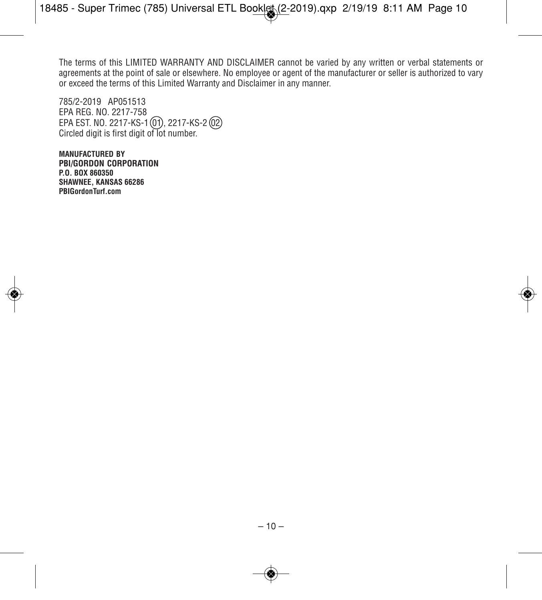The terms of this LIMITED WARRANTY AND DISCLAIMER cannot be varied by any written or verbal statements or agreements at the point of sale or elsewhere. No employee or agent of the manufacturer or seller is authorized to vary or exceed the terms of this Limited Warranty and Disclaimer in any manner.

785/2-2019 AP051513 EPA REG. NO. 2217-758 EPA EST. NO. 2217-KS-1 (01), 2217-KS-2 (02) Circled digit is first digit of lot number.

**MANUFACTURED BY PBI/GORDON CORPORATION P.O. BOX 860350 SHAWNEE, KANSAS 66286 PBIGordonTurf.com**